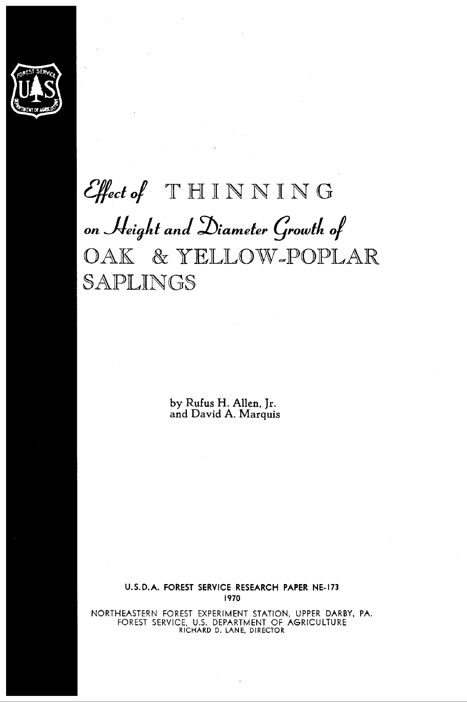

# **q#,tof** THINNING  $on$  Height and Diameter Growth of OAK & YELLOW-POPLAR SAPLINGS

**by Rufus H. Allen, Jr. and David A. Marquis** 

**U.** S. **D.** A. FOREST SERVICE RESEARCH PAPER NE- 173 1970

NORTHEASTERN FOREST EXPERIMENT STATION, UPPER DARBY, PA. FOREST SERVICE. U.S. DEPARTMENT OF AGRICULTURE RICHARD D. LANE. DIRECTOR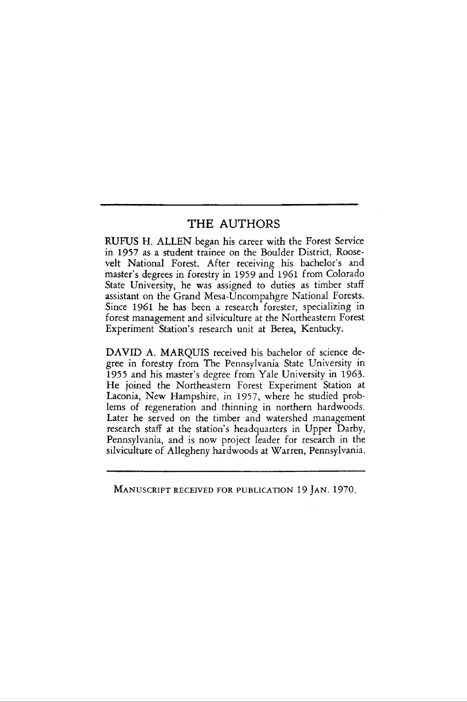#### THE AUTHORS

RUFUS H. ALLEN began his career with the Forest Service in 1957 as a student trainee on the Boulder District, Roosevelt National Forest. After receiving his bachelor's and master's degrees in forestry in 1959 and 1961 from Colorado State University, he was assigned to duties as timber staff assistant on the Grand Mesa-Uncompahgre National Forests. Since 1961 he has been a research forester, specializing in forest management and silviculture at the Northeastern Forest Experiment Station's research unit at Berea, Kentucky.

DAVID A. MARQUIS received his bachelor of science degree in forestry from The Pennsylvania State University in 1955 and his master's degree from Yale University in 1963. He joined the Northeastern Forest Experiment Station at Laconia, New Hampshire, in 1957, where he studied problems of regeneration and thinning in northern hardwoods. Later he served on the timber and watershed management research staff at the station's headquarters in Upper Darby, Pennsylvania, and is now project leader for research in the silviculture of Allegheny hardwoods at Warren, Pennsylvania.

MANUSCRIPT RECEIVED FOR PUBLICATION 19 JAN. 1970.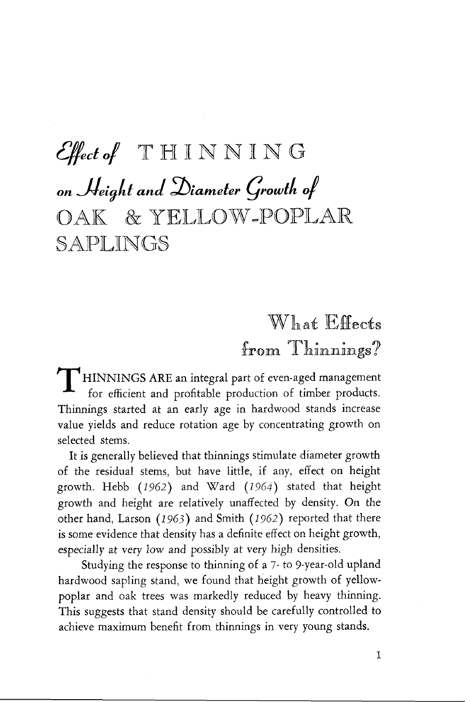# Effect of THINNING on Height and Diameter Growth of OAK & YELLOW-POPLAR SAPLINGS

What Effects

 $^{\rm f}$ rom  $^{\rm T}$ hinnings? $^{\rm f}$ HINNINGS ARE an integral part of even-aged management for efficient and profitable production of timber products. Thinnings started at an early age in hardwood stands increase value yields and reduce rotation age by concentrating growth on selected stems.

It is generally believed that thinnings stimulate diameter growth of the residual stems, but have little, if any, effect on height growth. Hebb *(1962)* and Ward *(1964)* stated that height growth and height are relatively unaffected by density. On the other hand, Larson *(I* 963) and Smith *(1 962)* reported that there is some evidence that density has a definite effect on height growth, especially at very low and possibly at very high densities.

Studying the response to thinning of a 7- to 9-year-old upland hardwood sapling stand, we found that height growth of yellowpoplar and oak trees was markedly reduced by heavy thinning. This suggests that stand density should be carefully controlled to achieve maximum benefit from thinnings in very young stands.

 $\mathbf{I}$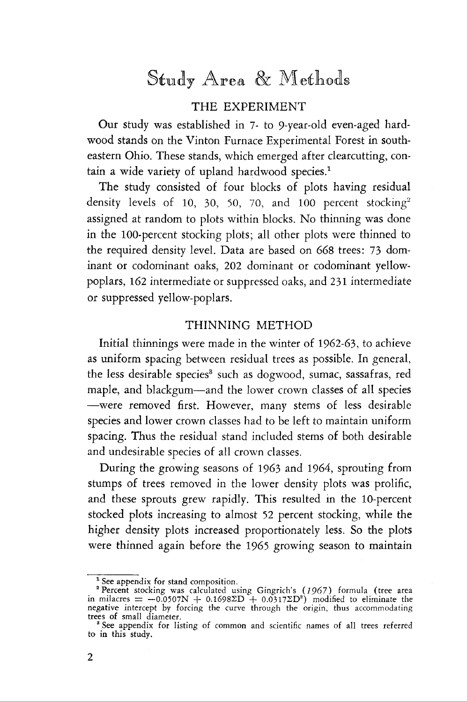### Study Area & Methods

### THE EXPERIMENT

Our study was established in 7- to 9-year-old even-aged hardwood stands on the Vinton Furnace Experimental Forest in southeastern Ohio. These stands, which emerged after clearcutting, contain a wide variety of upland hardwood species.'

The study consisted of four blocks of plots having residual density levels of 10, 30, 50, 70, and 100 percent stocking<sup>2</sup> assigned at random to plots within blocks. No thinning was done in the 100-percent stocking plots; all other plots were thinned to the required density level. Data are based on 668 trees: 73 dominant or codominant oaks, 202 dominant or codominant yellowpoplars, 162 intermediate or suppressed oaks, and 231 intermediate or suppressed yellow-poplars.

#### THINNING METHOD

Initial thinnings were made in the winter of 1962-63, to achieve as uniform spacing between residual trees as possible. In general, the less desirable species<sup>3</sup> such as dogwood, sumac, sassafras, red maple, and blackgum-and the lower crown classes of all species -were removed first. However, many stems of less desirable species and lower crown classes had to be left to maintain uniform spacing. Thus the residual stand included stems of both desirable and undesirable species of all crown classes.

During the growing seasons of 1963 and 1964, sprouting from stumps of trees removed in the lower density plots was prolific, and these sprouts grew rapidly. This resulted in the 10-percent stocked plots increasing to almost 52 percent stocking, while the higher density plots increased proportionately less. So the plots were thinned again before the 1965 growing season to maintain

<sup>&</sup>lt;sup>1</sup> See appendix for stand composition.<br><sup>2</sup> Percent stocking was calculated using Gingrich's (1967) formula (tree area<br>in milacres = -0.0507N + 0.1698ZD + 0.0317ZD<sup>2</sup>) modified to eliminate the<br>negative intercept by forci

**<sup>a</sup>**See appendix for listing of common and scientific names of all trees referred to in this study.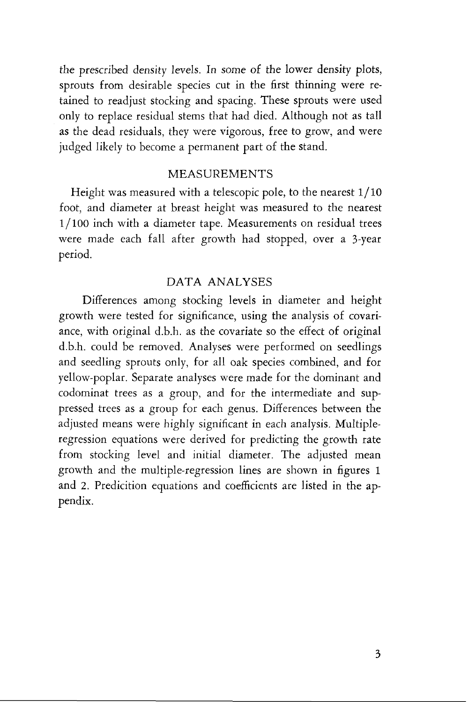the prescribed density levels. In some of the lower density plots, sprouts from desirable species cut in the first thinning were retained to readjust stocking and spacing. These sprouts were used only to replace residual stems that had died. Although not as tall as the dead residuals, they were vigorous, free to grow, and were judged likely to become a permanent part of the stand.

#### MEASUREMENTS

Height was measured with a telescopic pole, to the nearest 1/10 foot, and diameter at breast height was measured to the nearest 1/100 inch with a diameter tape. Measurements on residual trees were made each fall after growth had stopped, over a 3-year period.

### DATA ANALYSES

Differences among stocking levels in diameter and height growth were tested for significance, using the analysis of covariance, with original d.b.h. as the covariate so the effect of original d.b.h. could be removed. Analyses were performed on seedlings and seedling sprouts only, for all oak species combined, and for yellow-poplar. Separate analyses were made for the dominant and codominat trees as a group, and for the intermediate and suppressed trees as a group for each genus. Differences between the adjusted means were highly significant in each analysis. Multipleregression equations were derived for predicting the growth rate from stocking level and initial diameter. The adjusted mean growth and the multiple-regression lines are shown in figures 1 and **2.** Predicition equations and coefficients are listed in the appendix.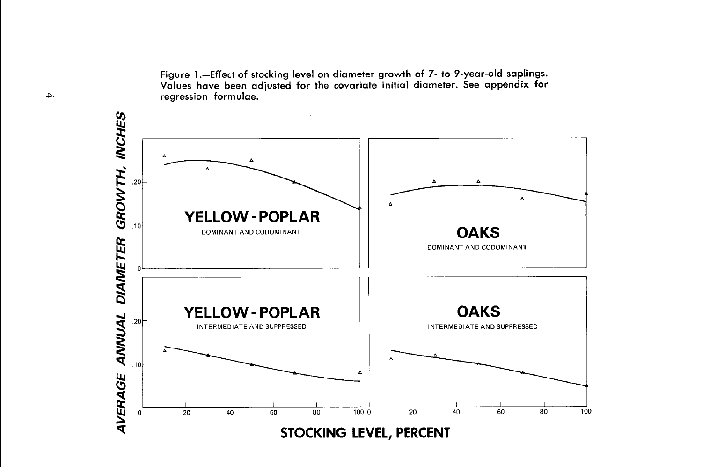Figure **1** .-Effect of stocking level on diameter growth of 7- to 9-year-old saplings. Values have been adjusted for the covariate initial diameter. See appendix for regression formulae.

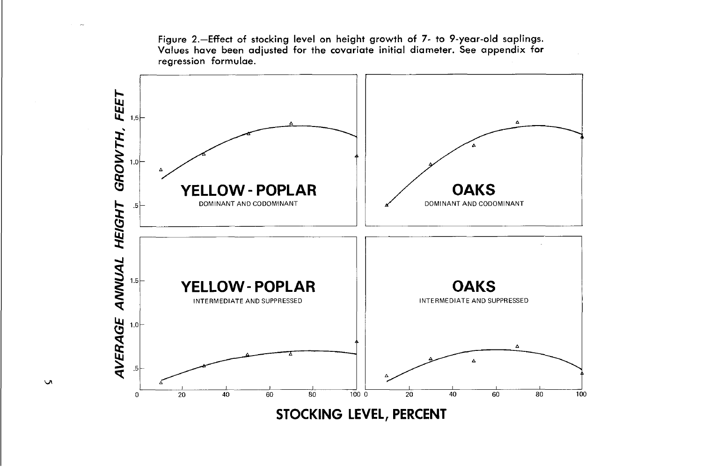**Figure 2.-Effect of stocking level on height growth of 7- to 9-year-old saplings. Values have been adjusted for the covariate initial diameter. See appendix for regression formulae.** 



 $\mathbf{v}$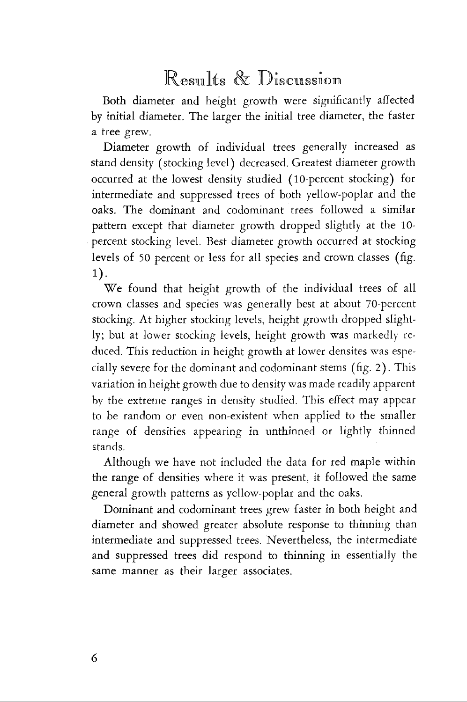### Results & Discussion

Both diameter and height growth were significantly affected by initial diameter. The larger the initial tree diameter, the faster a tree grew.

Diameter growth of individual trees generally increased as stand density (stocking level) decreased. Greatest diameter growth occurred at the lowest density studied (10-percent stocking) for intermediate and suppressed trees of both yellow-poplar and the oaks. The dominant and codominant trees followed a similar pattern except that diameter growth dropped slightly at the 10 percent stocking level. Rest diameter growth occurred at stocking levels of 50 percent or less for all species and crown classes (fig. 1).

We found that height growth of the individual trees of all crown classes and species was generally best at about 70-percent stocking. At higher stocking levels, height growth dropped slightly; but at lower stocking levels, height growth was markedly reduced. This reduction in height growth at lower densites was especially severe for the dominant and codominant stems (fig. 2). This variation in height growth due to density was made readily apparent by the extreme ranges in density studied. This effect may appear to be random or even non-existent when applied to the smaller range of densities appearing in unthinned or lightly thinned stands.

Although we have not included the data for red maple within the range of densities where it was present, it followed the same general growth patterns as yellow-poplar and the oaks.

Dominant and codominant trees grew faster in both height and diameter and showed greater absolute response to thinning than intermediate and suppressed trees. Nevertheless, the intermediate and suppressed trees did respond to thinning in essentially the same manner as their larger associates.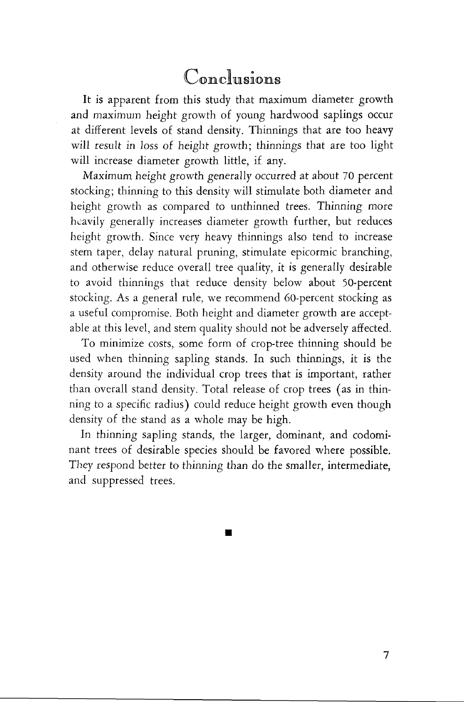### Conclusions

It is apparent from this study that maximum diameter growth and maximum height growth of young hardwood saplings occur at different levels of stand density. Thinnings that are too heavy will result in loss of height growth; thinnings that are too light will increase diameter growth little, if any.

Maximum height growth generally occurred at about 70 percent stocking; thinning to this density will stimulate both diameter and height growth as compared to unthinned trees. Thinning more hcavily generally increases diameter growth further, but reduces height growth. Since very heavy thinnings also tend to increase stem taper, delay natural pruning, stimulate epicormic branching, and otherwise reduce overall tree quality, it is generally desirable to avoid thinnings that reduce density below about 50-percent stocking. As a general rule, we recommend 60-percent stocking as a useful compromise. Both height and diameter growth are acceptable at this level, and stem quality should not be adversely affected.

To minimize costs, some form of crop-tree thinning should be used when thinning sapling stands. In such thinnings, it is the density around the individual crop trees that is important, rather than overall stand density. Total release of crop trees (as in thinning to a specific radius) could reduce height growth even though density of the stand as a whole may be high.

In thinning sapling stands, the larger, dominant, and codominant trees of desirable species should be favored where possible. They respond better to thinning than do the smaller, intermediate, and suppressed trees.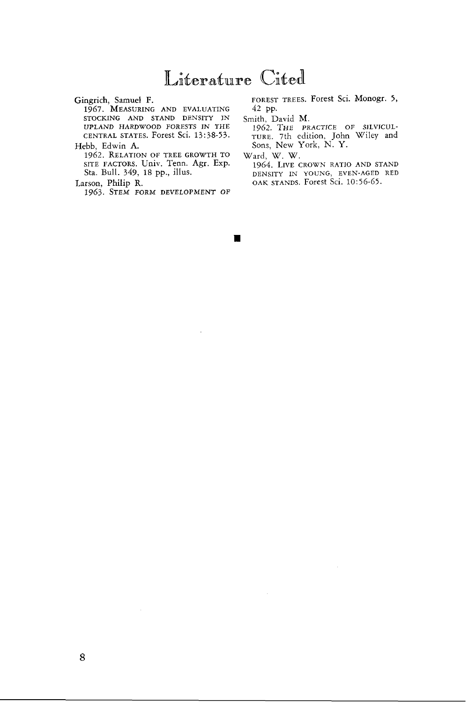### Literature Cited

Gingrich, Samuel F.

1967. MEASURING AND EVALUATING STOCKING AND STAND DENSITY IN UPLAND HARDWOOD FORESTS IN THE CENTRAL STATES. Forest Sci. 13: 38-53.

Hebb, Edwin **A.**  1962. RELATION OF TREE GROWTH TO SITE FACTORS. Univ. Tenn. Agr. Exp. Sta. Bull. 349, 18 pp., illus.

Larson, Philip R.

1963. STEM FORM DEVELOPMENT OF

FOREST TREES. Forest Sci. Monogr. 5, 42 PP.

Smith, David M.

1962. THE PRACTICE OF SILVICUL-TURE. 7th edition, John Wiley and Sons, New York, N. Y.

Ward, W. W.

1964. LIVE CROWN RATIO AND STAND DENSITY IN YOUNG, EVEN-AGED RED OAK STANDS. Forest Sci. 10:56-65.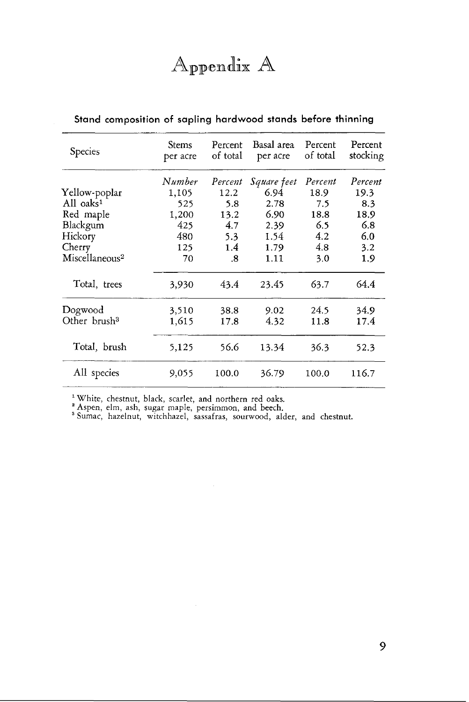## Appendix A

| Species                  | <b>Stems</b><br>per acre | Percent<br>of total | Basal area<br>per acre | Percent<br>of total | Percent<br>stocking |
|--------------------------|--------------------------|---------------------|------------------------|---------------------|---------------------|
|                          | Number                   | Percent             | Square feet            | Percent             | Percent             |
| Yellow-poplar            | 1.105                    | 12.2                | 6.94                   | 18.9                | 19.3                |
| All oaks <sup>1</sup>    | 525                      | 5.8                 | 2.78                   | 7.5                 | 8.3                 |
| Red maple                | 1,200                    | 13.2                | 6.90                   | 18.8                | 18.9                |
| Blackgum                 | 425                      | 4.7                 | 2.39                   | 6.5                 | 6.8                 |
| Hickory                  | 480                      | 5.3                 | 1.54                   | 4.2                 | 6.0                 |
| Cherry                   | 125                      | 1.4                 | 1.79                   | 4.8                 | 3.2                 |
| $M$ iscellaneous $^2$    | 70                       | .8                  | 1.11                   | 3.0                 | 1.9                 |
| Total, trees             | 3,930                    | 43.4                | 23.45                  | 63.7                | 64.4                |
| Dogwood                  | 3,510                    | 38.8                | 9.02                   | 24.5                | 34.9                |
| Other brush <sup>3</sup> | 1,615                    | 17.8                | 4.32                   | 11.8                | 17.4                |
| Total, brush             | 5,125                    | 56.6                | 13.34                  | 36.3                | 52.3                |
| All species              | 9,055                    | 100.0               | 36.79                  | 100.0               | 116.7               |

### **Stand composition of sapling hardwood stands before thinning**

White, chestnut, black, scarlet, and northern red oaks.

Aspen, elm, ash, sugar maple, persimmon, and beech. Sumac, hazelnut, witchhazel, sassafras, sourwood, alder, and chestnut.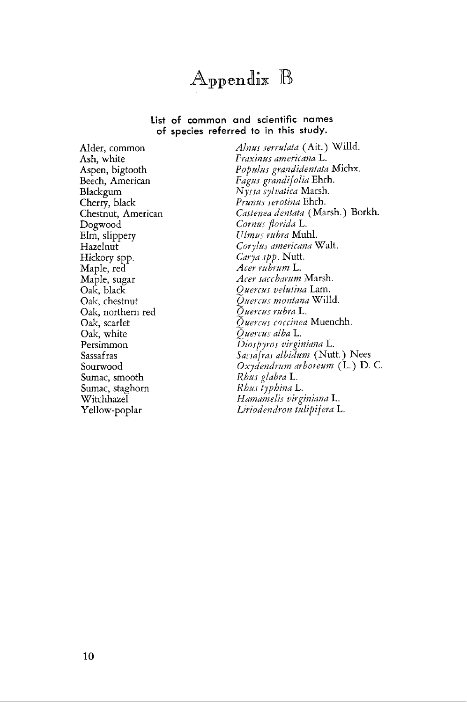

#### **List of common and scientific names of species referred to in this study.**

Dogwood *Cornus florida* L. Elm, slippery *Ulmus rubra* Muhl. Hickory spp. *Carya spp.* Nutt. Maple, red *Acer mbrum* L. Oak, northern red *Ouercus rubra* L. Oak, white *Quercus alba* L. Sumac, smooth *Rhus glabra* L.

Alder, common *Alnus serrulata* (Ait.) Willd. Ash, white *Fraxinus americana* L. Aspen, bigtooth *Populzls grandidentata* Michx. Beech, American *Fagus grandif olia* Ehrh. Blackgum *Nyssa syluatica* Marsh. Cherry, black *Prunus serotina* Ehrh. Chestnut, American *Castenea dentata* (Marsh.) Borkh. Hazelnut *Corylus americana* Walt. Maple, sugar *Acer saccharum* Marsh. Ouercus velutina Lam. Oak, chestnut *Quercus montana* Willd. Oak, scarlet -.. *Cuercz~s cocciaea* Muenchh. Persimmon *Diospyros virginidnu* L. Sassafras *Sassafrar albidum* (Nutt.) Nees Sourwood *Oxydendrum arboreum* (L.) *D. C.*  Sumac, staghorn *Rhns typhina* L. Witchhazel *Hamamelis vir giniana* L. Yellow-poplar *Liriodendron tulipifera* L.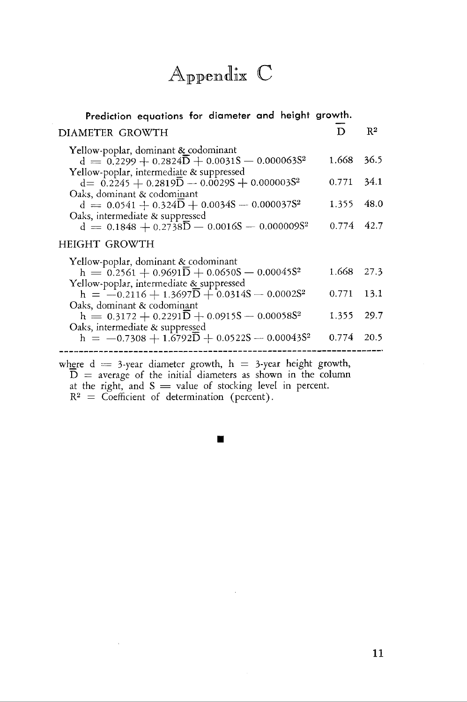## Appendix C

| Prediction equations for diameter and height growth.                                                                                                                |       |                |
|---------------------------------------------------------------------------------------------------------------------------------------------------------------------|-------|----------------|
| DIAMETER GROWTH                                                                                                                                                     | D     | $\mathbb{R}^2$ |
| Yellow-poplar, dominant & codominant<br>$d = 0.2299 + 0.2824\overline{D} + 0.0031\overline{S} - 0.000063\overline{S}^2$<br>Yellow-poplar, intermediate & suppressed | 1.668 | 36.5           |
| $d = 0.2245 + 0.2819\overline{D} - 0.00295 + 0.0000035^2$                                                                                                           | 0.771 | 34.1           |
| Oaks, dominant & codominant<br>$d = 0.0541 + 0.324D + 0.0034S - 0.000037S^2$<br>Oaks, intermediate & suppressed                                                     | 1.355 | 48.0           |
| $d = 0.1848 + 0.2738\overline{D} - 0.0016S - 0.000009S^2$                                                                                                           | 0.774 | 42.7           |
| HEIGHT GROWTH                                                                                                                                                       |       |                |
| Yellow-poplar, dominant & codominant<br>$h = 0.2561 + 0.9691\overline{D} + 0.0650S - 0.00045S^2$<br>Yellow-poplar, intermediate & suppressed                        | 1.668 | 27.3           |
| h = $-0.2116 + 1.3697\overline{D} + 0.0314S - 0.0002S^2$                                                                                                            | 0.771 | 13.1           |
| Oaks, dominant & codominant<br>$h = 0.3172 + 0.2291\overline{D} + 0.0915S - 0.00058S^2$<br>Oaks, intermediate & suppressed                                          | 1.355 | 29.7           |
| h = -0.7308 + 1.6792 $\overline{D}$ + 0.0522S - 0.00043S <sup>2</sup>                                                                                               | 0.774 | 20.5           |

where d = 3-year diameter growth, h = +year height growth,  $\overline{D}$  = average of the initial diameters as shown in the column  $D =$  average of the initial diameters as shown in the colat the right, and  $S =$  value of stocking level in percent.  $R^2$  = Coefficient of determination (percent).

l,

 $\blacksquare$